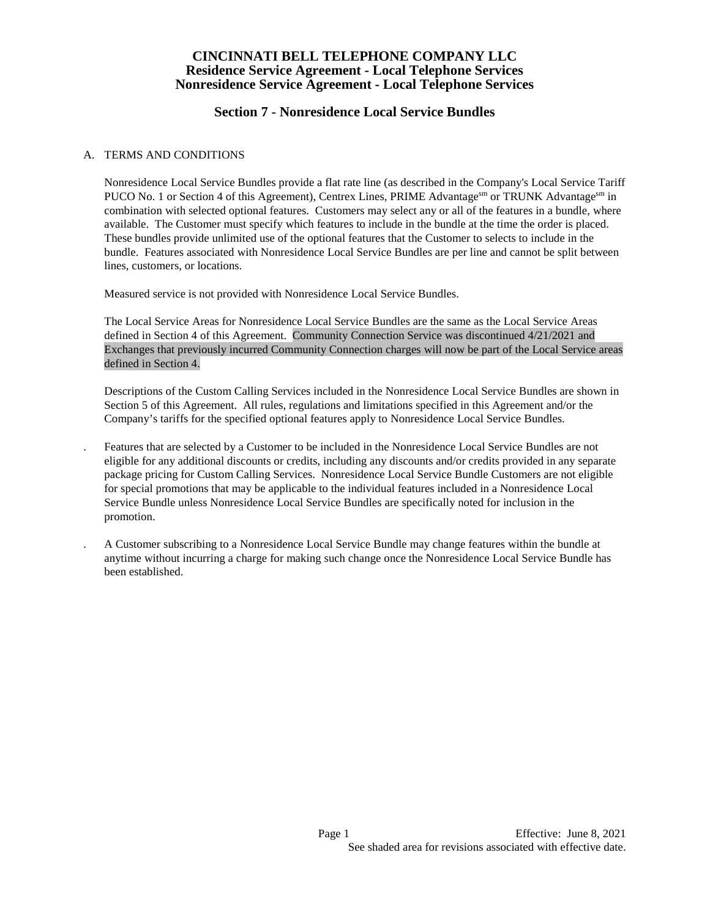# **Section 7 - Nonresidence Local Service Bundles**

#### A. TERMS AND CONDITIONS

Nonresidence Local Service Bundles provide a flat rate line (as described in the Company's Local Service Tariff PUCO No. 1 or Section 4 of this Agreement), Centrex Lines, PRIME Advantagesm or TRUNK Advantagesm in combination with selected optional features. Customers may select any or all of the features in a bundle, where available. The Customer must specify which features to include in the bundle at the time the order is placed. These bundles provide unlimited use of the optional features that the Customer to selects to include in the bundle. Features associated with Nonresidence Local Service Bundles are per line and cannot be split between lines, customers, or locations.

Measured service is not provided with Nonresidence Local Service Bundles.

The Local Service Areas for Nonresidence Local Service Bundles are the same as the Local Service Areas defined in Section 4 of this Agreement. Community Connection Service was discontinued 4/21/2021 and Exchanges that previously incurred Community Connection charges will now be part of the Local Service areas defined in Section 4.

Descriptions of the Custom Calling Services included in the Nonresidence Local Service Bundles are shown in Section 5 of this Agreement. All rules, regulations and limitations specified in this Agreement and/or the Company's tariffs for the specified optional features apply to Nonresidence Local Service Bundles.

- . Features that are selected by a Customer to be included in the Nonresidence Local Service Bundles are not eligible for any additional discounts or credits, including any discounts and/or credits provided in any separate package pricing for Custom Calling Services. Nonresidence Local Service Bundle Customers are not eligible for special promotions that may be applicable to the individual features included in a Nonresidence Local Service Bundle unless Nonresidence Local Service Bundles are specifically noted for inclusion in the promotion.
- . A Customer subscribing to a Nonresidence Local Service Bundle may change features within the bundle at anytime without incurring a charge for making such change once the Nonresidence Local Service Bundle has been established.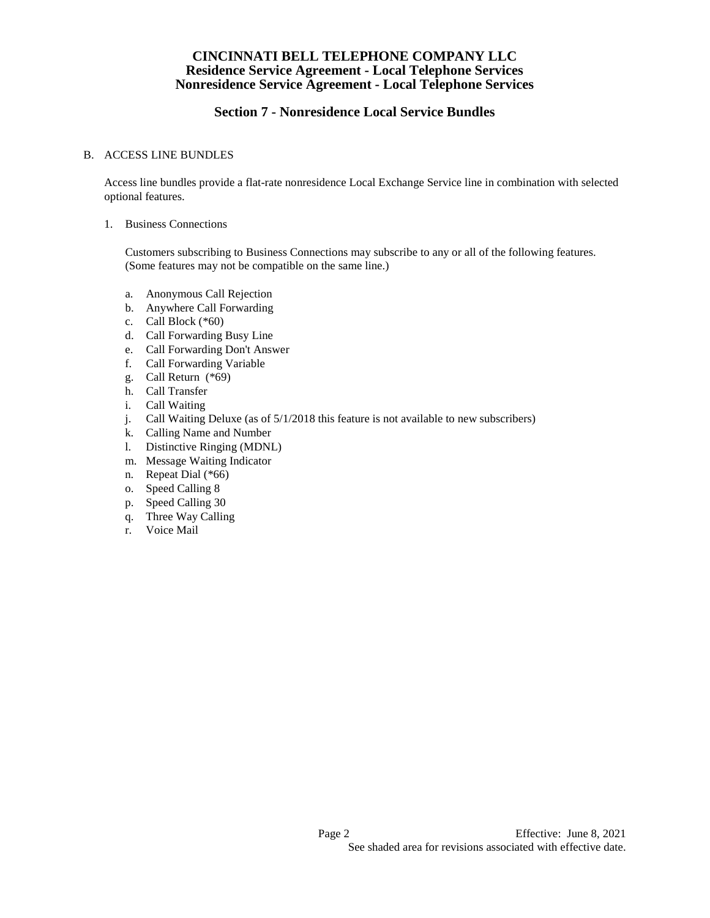# **Section 7 - Nonresidence Local Service Bundles**

#### B. ACCESS LINE BUNDLES

Access line bundles provide a flat-rate nonresidence Local Exchange Service line in combination with selected optional features.

1. Business Connections

Customers subscribing to Business Connections may subscribe to any or all of the following features. (Some features may not be compatible on the same line.)

- a. Anonymous Call Rejection
- b. Anywhere Call Forwarding
- c. Call Block (\*60)
- d. Call Forwarding Busy Line
- e. Call Forwarding Don't Answer
- f. Call Forwarding Variable
- g. Call Return (\*69)
- h. Call Transfer
- i. Call Waiting
- j. Call Waiting Deluxe (as of 5/1/2018 this feature is not available to new subscribers)
- k. Calling Name and Number
- l. Distinctive Ringing (MDNL)
- m. Message Waiting Indicator
- n. Repeat Dial (\*66)
- o. Speed Calling 8
- p. Speed Calling 30
- q. Three Way Calling
- r. Voice Mail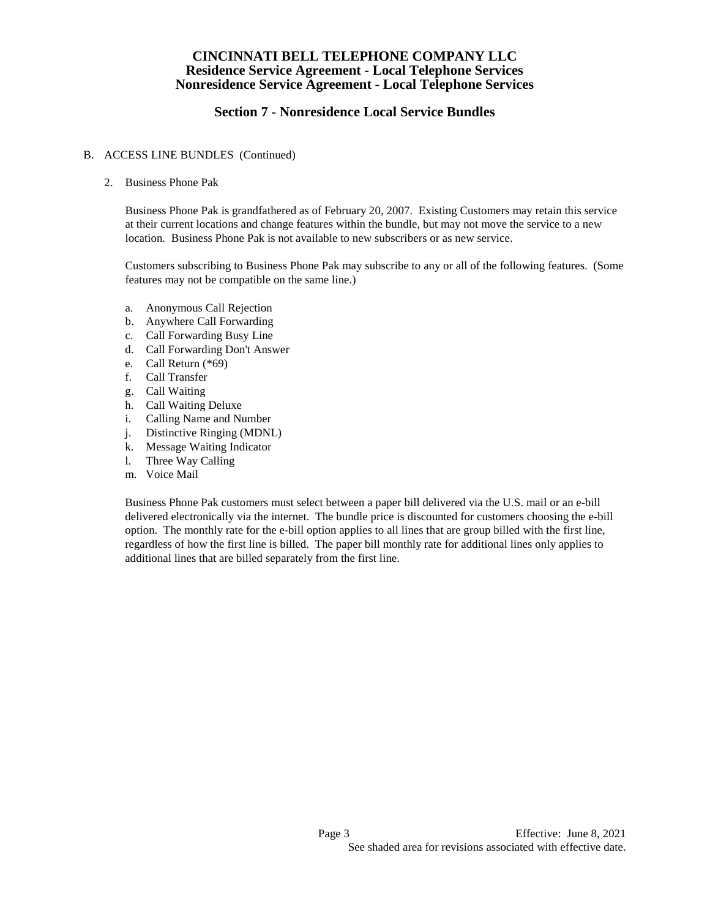# **Section 7 - Nonresidence Local Service Bundles**

#### B. ACCESS LINE BUNDLES (Continued)

2. Business Phone Pak

Business Phone Pak is grandfathered as of February 20, 2007. Existing Customers may retain this service at their current locations and change features within the bundle, but may not move the service to a new location. Business Phone Pak is not available to new subscribers or as new service.

Customers subscribing to Business Phone Pak may subscribe to any or all of the following features. (Some features may not be compatible on the same line.)

- a. Anonymous Call Rejection
- b. Anywhere Call Forwarding
- c. Call Forwarding Busy Line
- d. Call Forwarding Don't Answer
- e. Call Return (\*69)
- f. Call Transfer
- g. Call Waiting
- h. Call Waiting Deluxe
- i. Calling Name and Number
- j. Distinctive Ringing (MDNL)
- k. Message Waiting Indicator
- l. Three Way Calling
- m. Voice Mail

Business Phone Pak customers must select between a paper bill delivered via the U.S. mail or an e-bill delivered electronically via the internet. The bundle price is discounted for customers choosing the e-bill option. The monthly rate for the e-bill option applies to all lines that are group billed with the first line, regardless of how the first line is billed. The paper bill monthly rate for additional lines only applies to additional lines that are billed separately from the first line.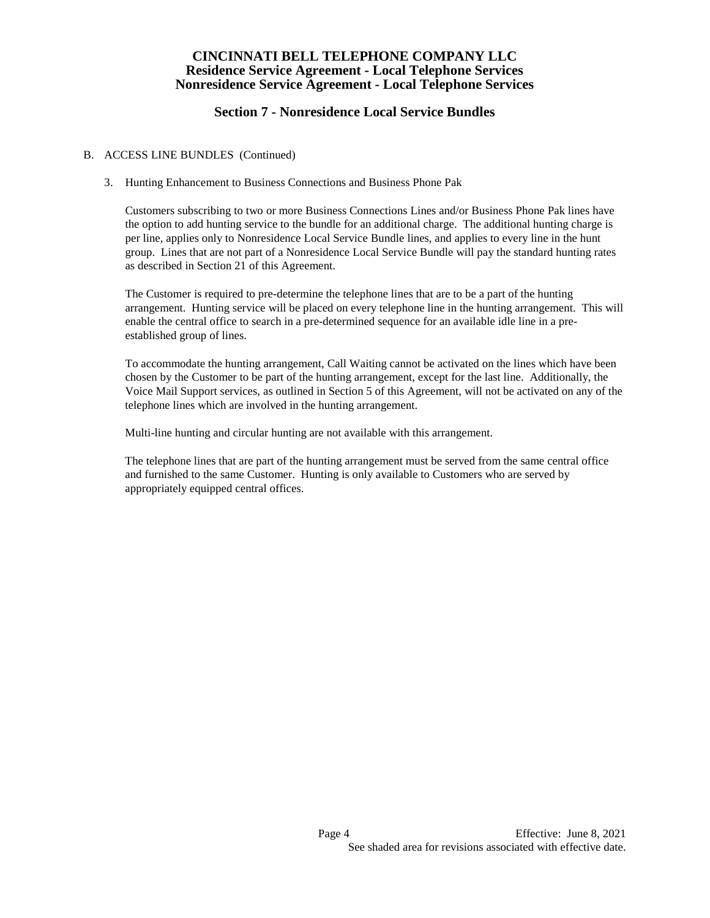# **Section 7 - Nonresidence Local Service Bundles**

#### B. ACCESS LINE BUNDLES (Continued)

#### 3. Hunting Enhancement to Business Connections and Business Phone Pak

Customers subscribing to two or more Business Connections Lines and/or Business Phone Pak lines have the option to add hunting service to the bundle for an additional charge. The additional hunting charge is per line, applies only to Nonresidence Local Service Bundle lines, and applies to every line in the hunt group. Lines that are not part of a Nonresidence Local Service Bundle will pay the standard hunting rates as described in Section 21 of this Agreement.

The Customer is required to pre-determine the telephone lines that are to be a part of the hunting arrangement. Hunting service will be placed on every telephone line in the hunting arrangement. This will enable the central office to search in a pre-determined sequence for an available idle line in a preestablished group of lines.

To accommodate the hunting arrangement, Call Waiting cannot be activated on the lines which have been chosen by the Customer to be part of the hunting arrangement, except for the last line. Additionally, the Voice Mail Support services, as outlined in Section 5 of this Agreement, will not be activated on any of the telephone lines which are involved in the hunting arrangement.

Multi-line hunting and circular hunting are not available with this arrangement.

The telephone lines that are part of the hunting arrangement must be served from the same central office and furnished to the same Customer. Hunting is only available to Customers who are served by appropriately equipped central offices.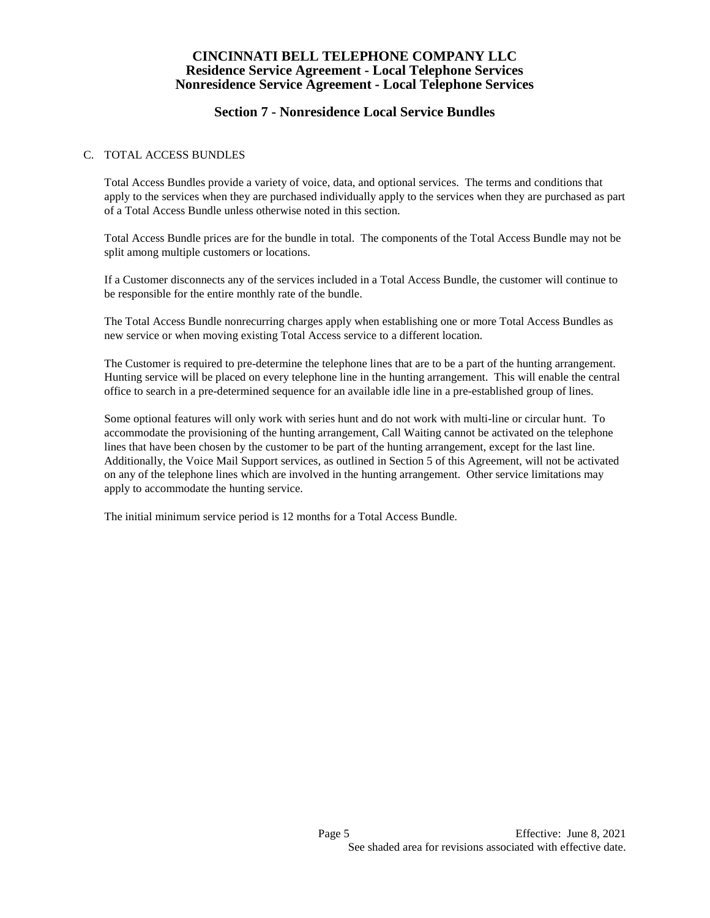# **Section 7 - Nonresidence Local Service Bundles**

#### C. TOTAL ACCESS BUNDLES

Total Access Bundles provide a variety of voice, data, and optional services. The terms and conditions that apply to the services when they are purchased individually apply to the services when they are purchased as part of a Total Access Bundle unless otherwise noted in this section.

Total Access Bundle prices are for the bundle in total. The components of the Total Access Bundle may not be split among multiple customers or locations.

If a Customer disconnects any of the services included in a Total Access Bundle, the customer will continue to be responsible for the entire monthly rate of the bundle.

The Total Access Bundle nonrecurring charges apply when establishing one or more Total Access Bundles as new service or when moving existing Total Access service to a different location.

The Customer is required to pre-determine the telephone lines that are to be a part of the hunting arrangement. Hunting service will be placed on every telephone line in the hunting arrangement. This will enable the central office to search in a pre-determined sequence for an available idle line in a pre-established group of lines.

Some optional features will only work with series hunt and do not work with multi-line or circular hunt. To accommodate the provisioning of the hunting arrangement, Call Waiting cannot be activated on the telephone lines that have been chosen by the customer to be part of the hunting arrangement, except for the last line. Additionally, the Voice Mail Support services, as outlined in Section 5 of this Agreement, will not be activated on any of the telephone lines which are involved in the hunting arrangement. Other service limitations may apply to accommodate the hunting service.

The initial minimum service period is 12 months for a Total Access Bundle.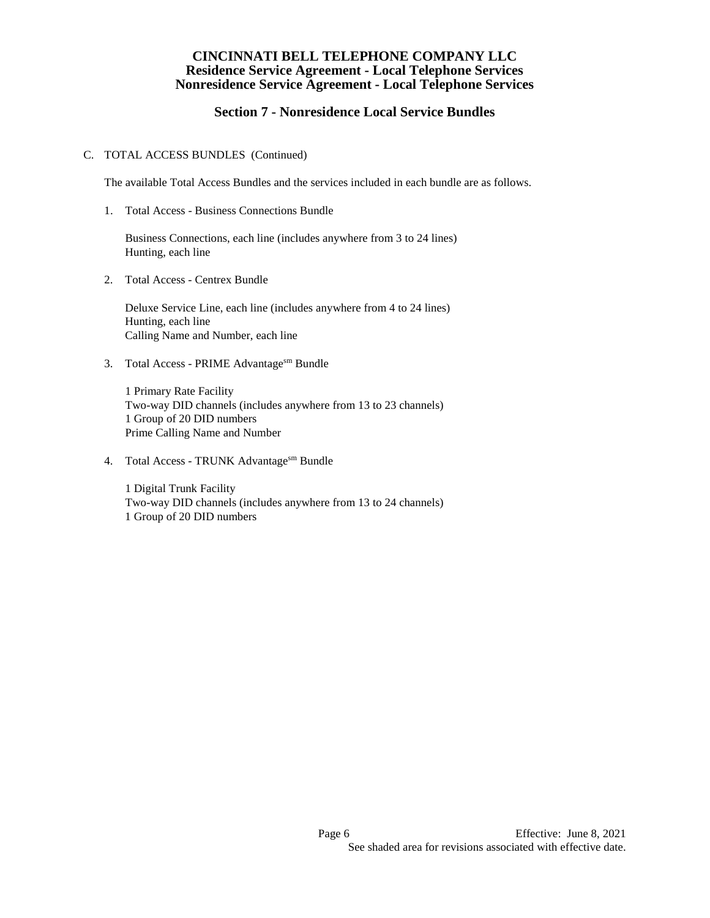# **Section 7 - Nonresidence Local Service Bundles**

#### C. TOTAL ACCESS BUNDLES (Continued)

The available Total Access Bundles and the services included in each bundle are as follows.

1. Total Access - Business Connections Bundle

Business Connections, each line (includes anywhere from 3 to 24 lines) Hunting, each line

2. Total Access - Centrex Bundle

Deluxe Service Line, each line (includes anywhere from 4 to 24 lines) Hunting, each line Calling Name and Number, each line

3. Total Access - PRIME Advantagesm Bundle

1 Primary Rate Facility Two-way DID channels (includes anywhere from 13 to 23 channels) 1 Group of 20 DID numbers Prime Calling Name and Number

4. Total Access - TRUNK Advantagesm Bundle

1 Digital Trunk Facility Two-way DID channels (includes anywhere from 13 to 24 channels) 1 Group of 20 DID numbers